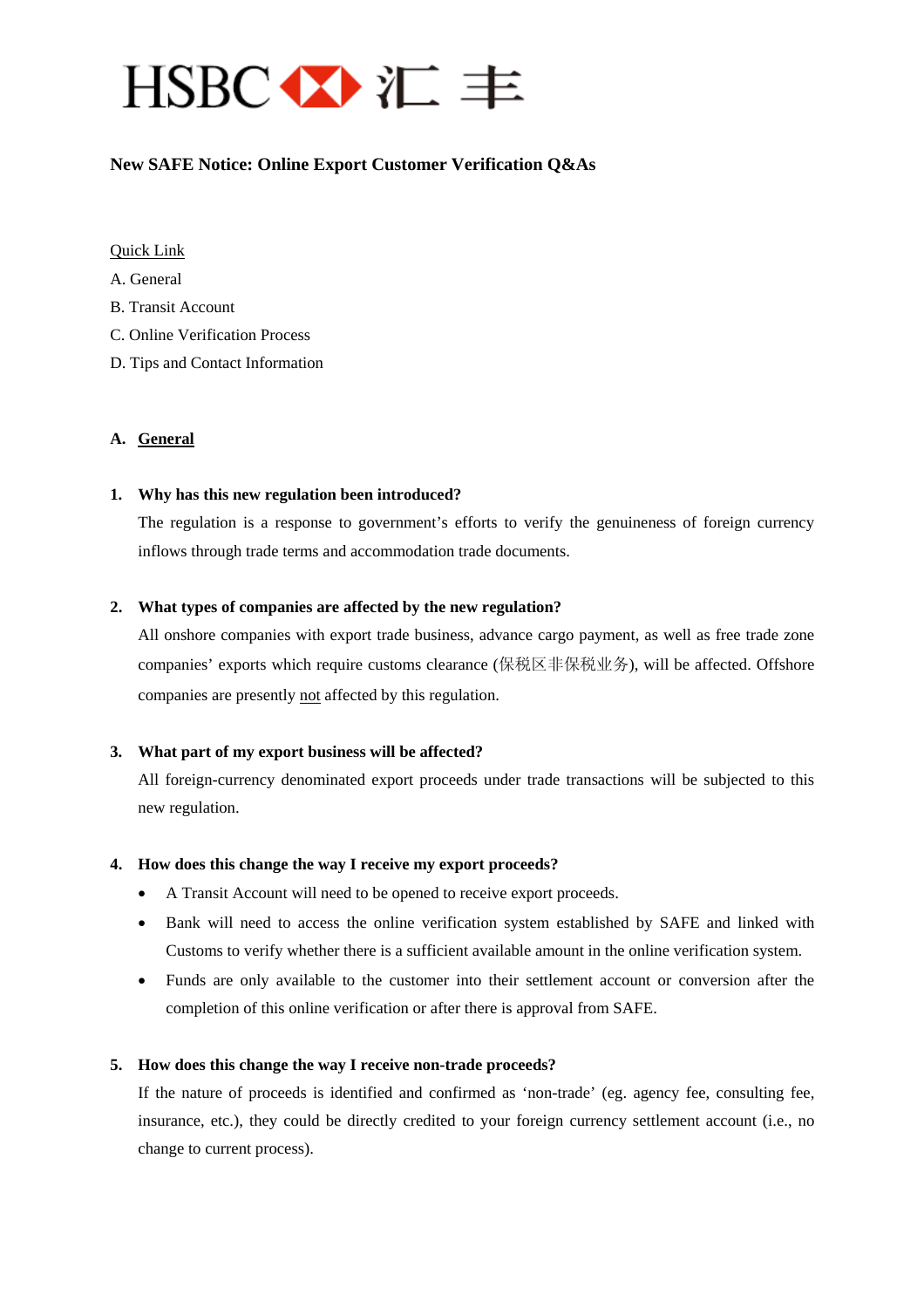

## **New SAFE Notice: Online Export Customer Verification Q&As**

#### Quick Link

[A.](#page-0-0) [General](#page-0-0) 

- [B. Transit Account](#page-1-0)
- [C. Online Verification Process](#page-2-0)
- [D.](#page-4-0) [Tips and Contact Information](#page-4-0)

#### <span id="page-0-0"></span>**A. General**

#### **1. Why has this new regulation been introduced?**

The regulation is a response to government's efforts to verify the genuineness of foreign currency inflows through trade terms and accommodation trade documents.

#### **2. What types of companies are affected by the new regulation?**

All onshore companies with export trade business, advance cargo payment, as well as free trade zone companies' exports which require customs clearance (保税区非保税业务), will be affected. Offshore companies are presently not affected by this regulation.

#### **3. What part of my export business will be affected?**

All foreign-currency denominated export proceeds under trade transactions will be subjected to this new regulation.

#### **4. How does this change the way I receive my export proceeds?**

- A Transit Account will need to be opened to receive export proceeds.
- Bank will need to access the online verification system established by SAFE and linked with Customs to verify whether there is a sufficient available amount in the online verification system.
- Funds are only available to the customer into their settlement account or conversion after the completion of this online verification or after there is approval from SAFE.

#### **5. How does this change the way I receive non-trade proceeds?**

If the nature of proceeds is identified and confirmed as 'non-trade' (eg. agency fee, consulting fee, insurance, etc.), they could be directly credited to your foreign currency settlement account (i.e., no change to current process).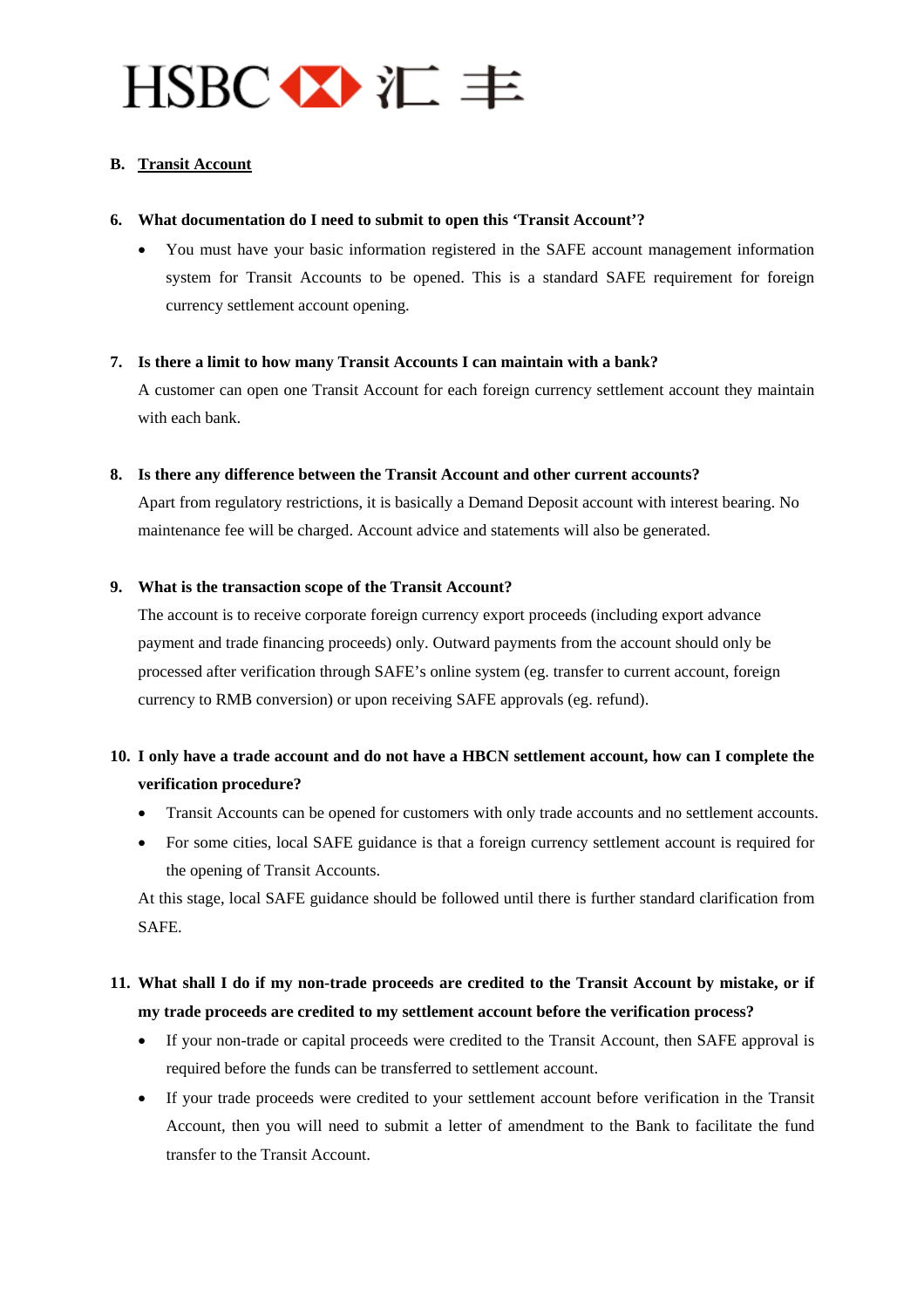# $HSBC \leftrightarrow \pi \equiv$

## <span id="page-1-0"></span>**B. Transit Account**

#### **6. What documentation do I need to submit to open this 'Transit Account'?**

• You must have your basic information registered in the SAFE account management information system for Transit Accounts to be opened. This is a standard SAFE requirement for foreign currency settlement account opening.

#### **7. Is there a limit to how many Transit Accounts I can maintain with a bank?**

A customer can open one Transit Account for each foreign currency settlement account they maintain with each bank.

#### **8. Is there any difference between the Transit Account and other current accounts?**

Apart from regulatory restrictions, it is basically a Demand Deposit account with interest bearing. No maintenance fee will be charged. Account advice and statements will also be generated.

#### **9. What is the transaction scope of the Transit Account?**

The account is to receive corporate foreign currency export proceeds (including export advance payment and trade financing proceeds) only. Outward payments from the account should only be processed after verification through SAFE's online system (eg. transfer to current account, foreign currency to RMB conversion) or upon receiving SAFE approvals (eg. refund).

## **10. I only have a trade account and do not have a HBCN settlement account, how can I complete the verification procedure?**

- Transit Accounts can be opened for customers with only trade accounts and no settlement accounts.
- For some cities, local SAFE guidance is that a foreign currency settlement account is required for the opening of Transit Accounts.

At this stage, local SAFE guidance should be followed until there is further standard clarification from SAFE.

## **11. What shall I do if my non-trade proceeds are credited to the Transit Account by mistake, or if my trade proceeds are credited to my settlement account before the verification process?**

- If your non-trade or capital proceeds were credited to the Transit Account, then SAFE approval is required before the funds can be transferred to settlement account.
- If your trade proceeds were credited to your settlement account before verification in the Transit Account, then you will need to submit a letter of amendment to the Bank to facilitate the fund transfer to the Transit Account.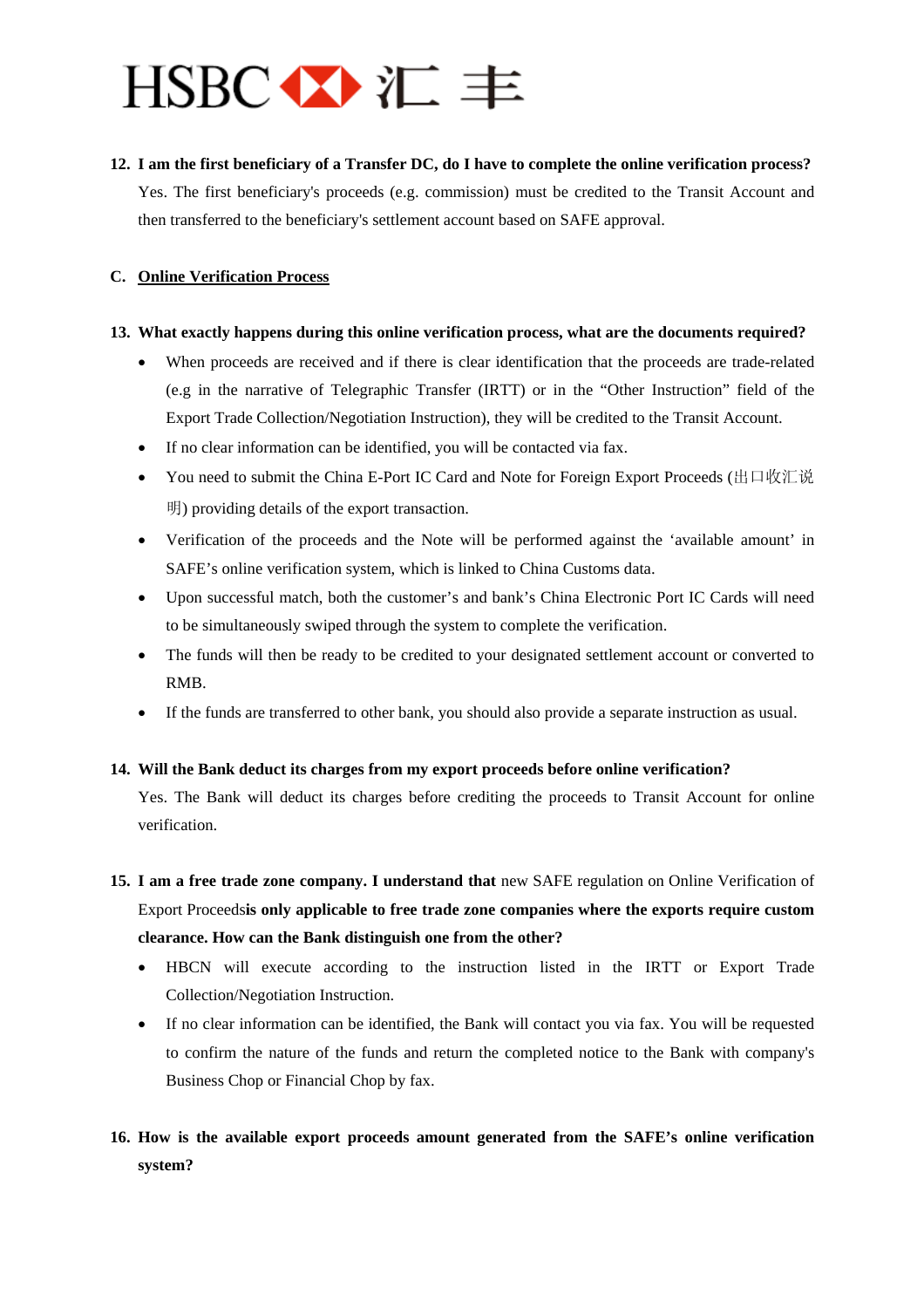# $HSBC \leftrightarrow E \equiv$

#### **12. I am the first beneficiary of a Transfer DC, do I have to complete the online verification process?**

Yes. The first beneficiary's proceeds (e.g. commission) must be credited to the Transit Account and then transferred to the beneficiary's settlement account based on SAFE approval.

### <span id="page-2-0"></span>**C. Online Verification Process**

#### **13. What exactly happens during this online verification process, what are the documents required?**

- When proceeds are received and if there is clear identification that the proceeds are trade-related (e.g in the narrative of Telegraphic Transfer (IRTT) or in the "Other Instruction" field of the Export Trade Collection/Negotiation Instruction), they will be credited to the Transit Account.
- If no clear information can be identified, you will be contacted via fax.
- You need to submit the China E-Port IC Card and Note for Foreign Export Proceeds (出口收汇说 明) providing details of the export transaction.
- Verification of the proceeds and the Note will be performed against the 'available amount' in SAFE's online verification system, which is linked to China Customs data.
- Upon successful match, both the customer's and bank's China Electronic Port IC Cards will need to be simultaneously swiped through the system to complete the verification.
- The funds will then be ready to be credited to your designated settlement account or converted to RMB.
- If the funds are transferred to other bank, you should also provide a separate instruction as usual.

#### **14. Will the Bank deduct its charges from my export proceeds before online verification?**

Yes. The Bank will deduct its charges before crediting the proceeds to Transit Account for online verification.

- **15. I am a free trade zone company. I understand that** new SAFE regulation on Online Verification of Export Proceeds**is only applicable to free trade zone companies where the exports require custom clearance. How can the Bank distinguish one from the other?** 
	- HBCN will execute according to the instruction listed in the IRTT or Export Trade Collection/Negotiation Instruction.
	- If no clear information can be identified, the Bank will contact you via fax. You will be requested to confirm the nature of the funds and return the completed notice to the Bank with company's Business Chop or Financial Chop by fax.

# **16. How is the available export proceeds amount generated from the SAFE's online verification system?**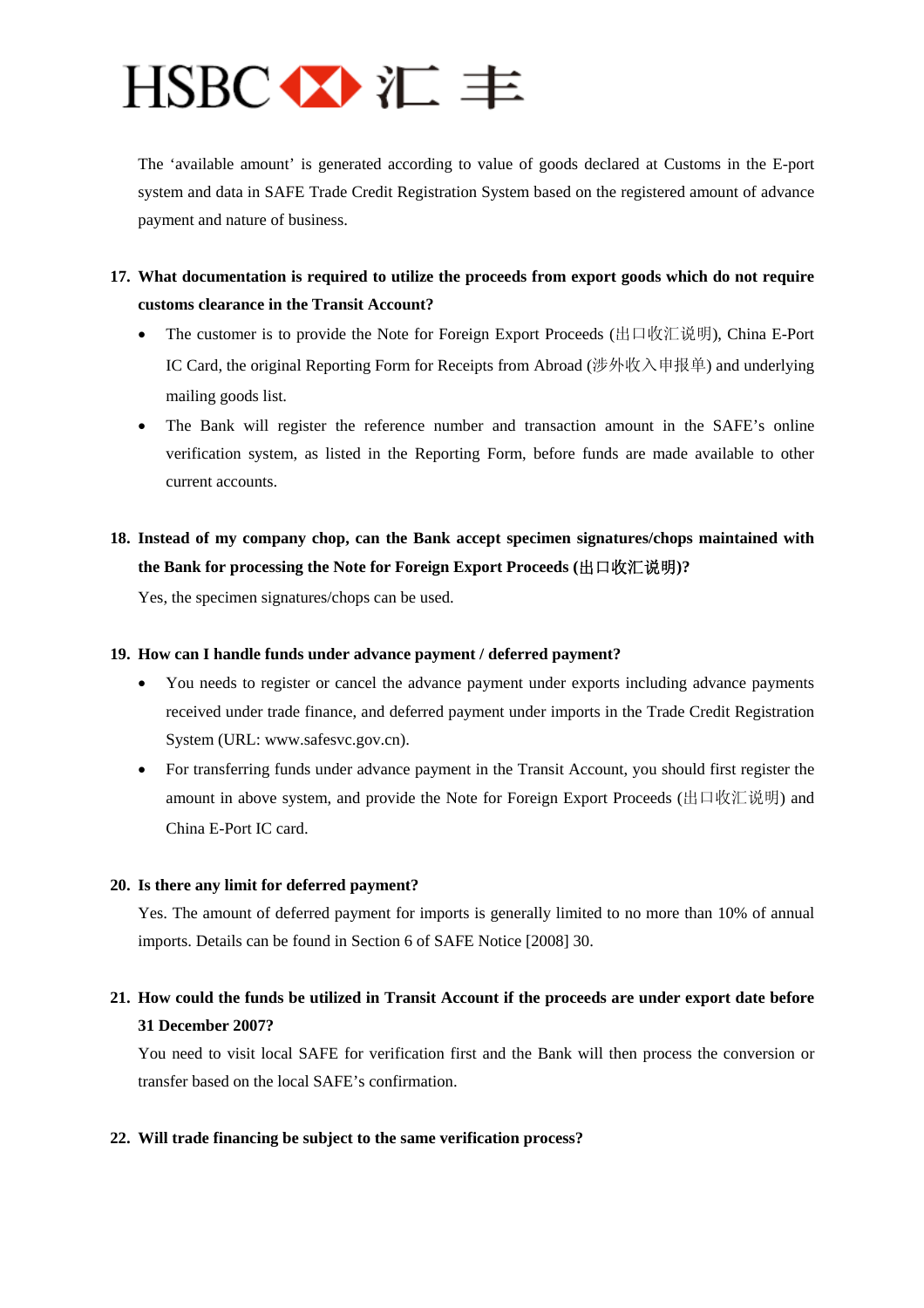

The 'available amount' is generated according to value of goods declared at Customs in the E-port system and data in SAFE Trade Credit Registration System based on the registered amount of advance payment and nature of business.

## **17. What documentation is required to utilize the proceeds from export goods which do not require customs clearance in the Transit Account?**

- The customer is to provide the Note for Foreign Export Proceeds (出口收汇说明), China E-Port IC Card, the original Reporting Form for Receipts from Abroad (涉外收入申报单) and underlying mailing goods list.
- The Bank will register the reference number and transaction amount in the SAFE's online verification system, as listed in the Reporting Form, before funds are made available to other current accounts.

# **18. Instead of my company chop, can the Bank accept specimen signatures/chops maintained with the Bank for processing the Note for Foreign Export Proceeds (**出口收汇说明**)?**

Yes, the specimen signatures/chops can be used.

#### **19. How can I handle funds under advance payment / deferred payment?**

- You needs to register or cancel the advance payment under exports including advance payments received under trade finance, and deferred payment under imports in the Trade Credit Registration System (URL: [www.safesvc.gov.cn\)](http://www.safesvc.gov.cn/).
- For transferring funds under advance payment in the Transit Account, you should first register the amount in above system, and provide the Note for Foreign Export Proceeds (出口收汇说明) and China E-Port IC card.

#### **20. Is there any limit for deferred payment?**

Yes. The amount of deferred payment for imports is generally limited to no more than 10% of annual imports. Details can be found in Section 6 of SAFE Notice [2008] 30.

## **21. How could the funds be utilized in Transit Account if the proceeds are under export date before 31 December 2007?**

You need to visit local SAFE for verification first and the Bank will then process the conversion or transfer based on the local SAFE's confirmation.

#### **22. Will trade financing be subject to the same verification process?**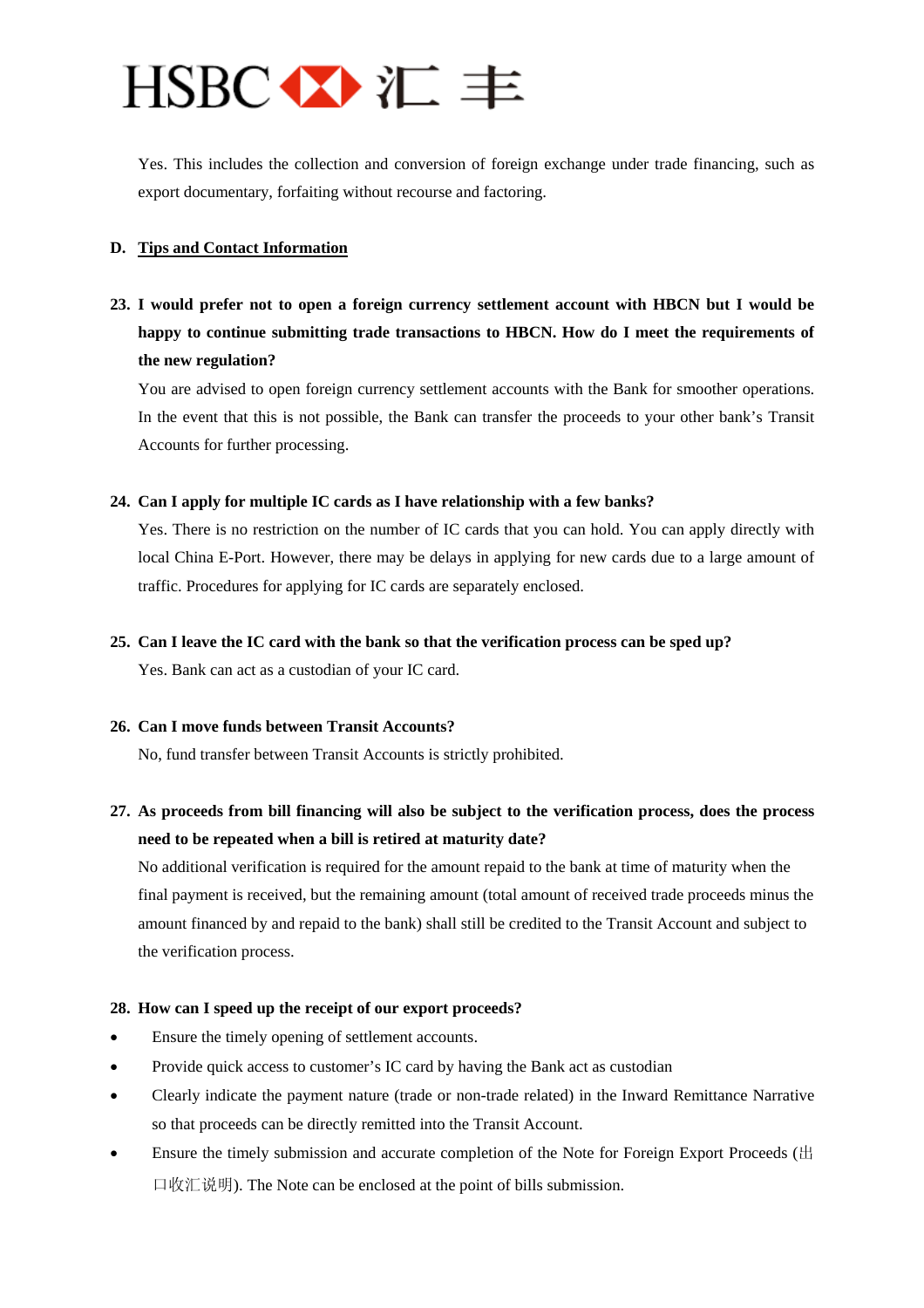# $HSBC \leftrightarrow E \equiv$

Yes. This includes the collection and conversion of foreign exchange under trade financing, such as export documentary, forfaiting without recourse and factoring.

## <span id="page-4-0"></span>**D. Tips and Contact Information**

**23. I would prefer not to open a foreign currency settlement account with HBCN but I would be happy to continue submitting trade transactions to HBCN. How do I meet the requirements of the new regulation?** 

You are advised to open foreign currency settlement accounts with the Bank for smoother operations. In the event that this is not possible, the Bank can transfer the proceeds to your other bank's Transit Accounts for further processing.

### **24. Can I apply for multiple IC cards as I have relationship with a few banks?**

Yes. There is no restriction on the number of IC cards that you can hold. You can apply directly with local China E-Port. However, there may be delays in applying for new cards due to a large amount of traffic. Procedures for applying for IC cards are separately enclosed.

### **25. Can I leave the IC card with the bank so that the verification process can be sped up?**

Yes. Bank can act as a custodian of your IC card.

#### **26. Can I move funds between Transit Accounts?**

No, fund transfer between Transit Accounts is strictly prohibited.

# **27. As proceeds from bill financing will also be subject to the verification process, does the process need to be repeated when a bill is retired at maturity date?**

No additional verification is required for the amount repaid to the bank at time of maturity when the final payment is received, but the remaining amount (total amount of received trade proceeds minus the amount financed by and repaid to the bank) shall still be credited to the Transit Account and subject to the verification process.

#### **28. How can I speed up the receipt of our export proceeds?**

- Ensure the timely opening of settlement accounts.
- Provide quick access to customer's IC card by having the Bank act as custodian
- Clearly indicate the payment nature (trade or non-trade related) in the Inward Remittance Narrative so that proceeds can be directly remitted into the Transit Account.
- Ensure the timely submission and accurate completion of the Note for Foreign Export Proceeds ( $\pm$ 口收汇说明). The Note can be enclosed at the point of bills submission.